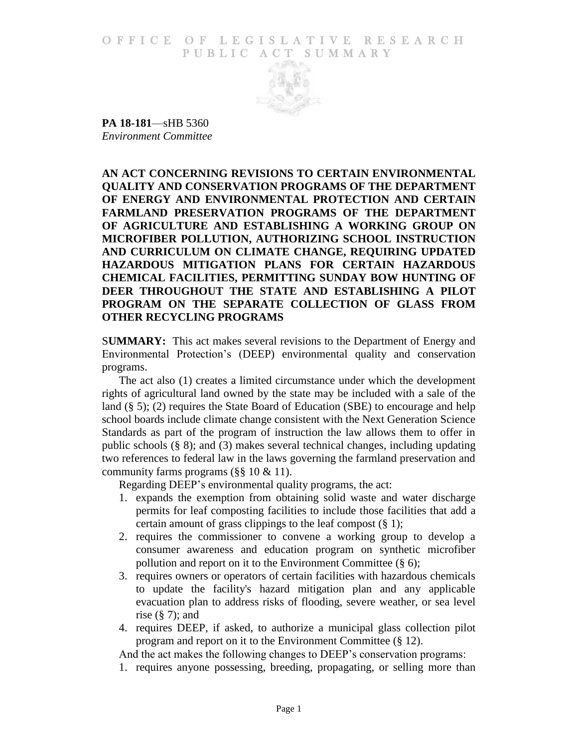O F FICE OF LEGISLATIVE RESEARCH PUBLIC ACT SUMMARY



**PA 18-181**—sHB 5360 *Environment Committee*

**AN ACT CONCERNING REVISIONS TO CERTAIN ENVIRONMENTAL QUALITY AND CONSERVATION PROGRAMS OF THE DEPARTMENT OF ENERGY AND ENVIRONMENTAL PROTECTION AND CERTAIN FARMLAND PRESERVATION PROGRAMS OF THE DEPARTMENT OF AGRICULTURE AND ESTABLISHING A WORKING GROUP ON MICROFIBER POLLUTION, AUTHORIZING SCHOOL INSTRUCTION AND CURRICULUM ON CLIMATE CHANGE, REQUIRING UPDATED HAZARDOUS MITIGATION PLANS FOR CERTAIN HAZARDOUS CHEMICAL FACILITIES, PERMITTING SUNDAY BOW HUNTING OF DEER THROUGHOUT THE STATE AND ESTABLISHING A PILOT PROGRAM ON THE SEPARATE COLLECTION OF GLASS FROM OTHER RECYCLING PROGRAMS**

S**UMMARY:** This act makes several revisions to the Department of Energy and Environmental Protection's (DEEP) environmental quality and conservation programs.

The act also (1) creates a limited circumstance under which the development rights of agricultural land owned by the state may be included with a sale of the land (§ 5); (2) requires the State Board of Education (SBE) to encourage and help school boards include climate change consistent with the Next Generation Science Standards as part of the program of instruction the law allows them to offer in public schools (§ 8); and (3) makes several technical changes, including updating two references to federal law in the laws governing the farmland preservation and community farms programs (§§ 10 & 11).

Regarding DEEP's environmental quality programs, the act:

- 1. expands the exemption from obtaining solid waste and water discharge permits for leaf composting facilities to include those facilities that add a certain amount of grass clippings to the leaf compost (§ 1);
- 2. requires the commissioner to convene a working group to develop a consumer awareness and education program on synthetic microfiber pollution and report on it to the Environment Committee (§ 6);
- 3. requires owners or operators of certain facilities with hazardous chemicals to update the facility's hazard mitigation plan and any applicable evacuation plan to address risks of flooding, severe weather, or sea level rise  $(\S 7)$ ; and
- 4. requires DEEP, if asked, to authorize a municipal glass collection pilot program and report on it to the Environment Committee (§ 12).

And the act makes the following changes to DEEP's conservation programs:

1. requires anyone possessing, breeding, propagating, or selling more than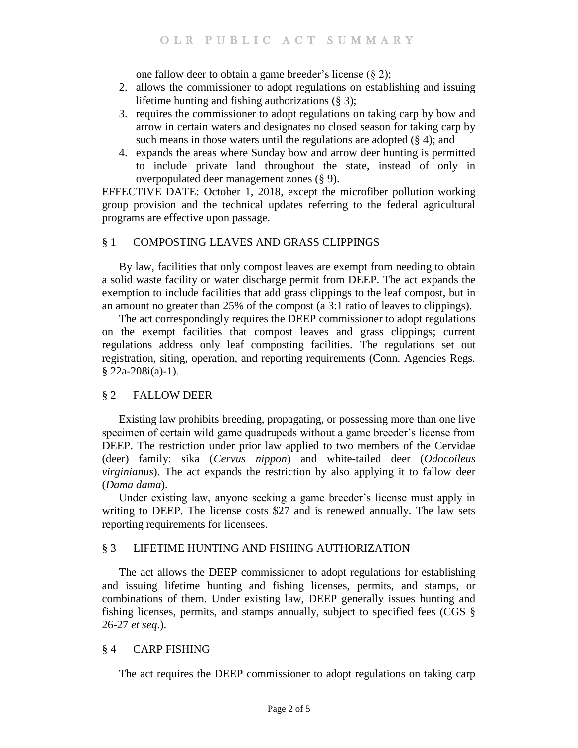one fallow deer to obtain a game breeder's license  $(\S 2)$ ;

- 2. allows the commissioner to adopt regulations on establishing and issuing lifetime hunting and fishing authorizations (§ 3);
- 3. requires the commissioner to adopt regulations on taking carp by bow and arrow in certain waters and designates no closed season for taking carp by such means in those waters until the regulations are adopted  $(\S 4)$ ; and
- 4. expands the areas where Sunday bow and arrow deer hunting is permitted to include private land throughout the state, instead of only in overpopulated deer management zones (§ 9).

EFFECTIVE DATE: October 1, 2018, except the microfiber pollution working group provision and the technical updates referring to the federal agricultural programs are effective upon passage.

# § 1 — COMPOSTING LEAVES AND GRASS CLIPPINGS

By law, facilities that only compost leaves are exempt from needing to obtain a solid waste facility or water discharge permit from DEEP. The act expands the exemption to include facilities that add grass clippings to the leaf compost, but in an amount no greater than 25% of the compost (a 3:1 ratio of leaves to clippings).

The act correspondingly requires the DEEP commissioner to adopt regulations on the exempt facilities that compost leaves and grass clippings; current regulations address only leaf composting facilities. The regulations set out registration, siting, operation, and reporting requirements (Conn. Agencies Regs. § 22a-208i(a)-1).

## § 2 — FALLOW DEER

Existing law prohibits breeding, propagating, or possessing more than one live specimen of certain wild game quadrupeds without a game breeder's license from DEEP. The restriction under prior law applied to two members of the Cervidae (deer) family: sika (*Cervus nippon*) and white-tailed deer (*Odocoileus virginianus*). The act expands the restriction by also applying it to fallow deer (*Dama dama*).

Under existing law, anyone seeking a game breeder's license must apply in writing to DEEP. The license costs \$27 and is renewed annually. The law sets reporting requirements for licensees.

## § 3 — LIFETIME HUNTING AND FISHING AUTHORIZATION

The act allows the DEEP commissioner to adopt regulations for establishing and issuing lifetime hunting and fishing licenses, permits, and stamps, or combinations of them. Under existing law, DEEP generally issues hunting and fishing licenses, permits, and stamps annually, subject to specified fees (CGS § 26-27 *et seq*.).

## § 4 — CARP FISHING

The act requires the DEEP commissioner to adopt regulations on taking carp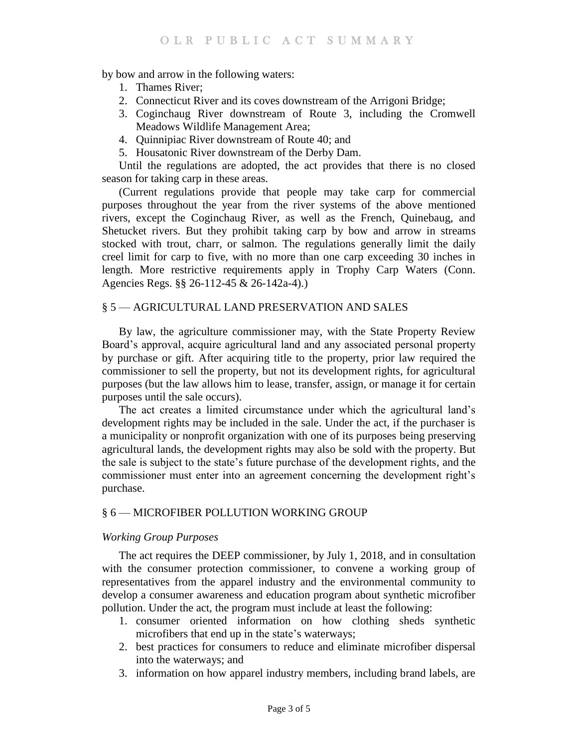by bow and arrow in the following waters:

- 1. Thames River;
- 2. Connecticut River and its coves downstream of the Arrigoni Bridge;
- 3. Coginchaug River downstream of Route 3, including the Cromwell Meadows Wildlife Management Area;
- 4. Quinnipiac River downstream of Route 40; and
- 5. Housatonic River downstream of the Derby Dam.

Until the regulations are adopted, the act provides that there is no closed season for taking carp in these areas.

(Current regulations provide that people may take carp for commercial purposes throughout the year from the river systems of the above mentioned rivers, except the Coginchaug River, as well as the French, Quinebaug, and Shetucket rivers. But they prohibit taking carp by bow and arrow in streams stocked with trout, charr, or salmon. The regulations generally limit the daily creel limit for carp to five, with no more than one carp exceeding 30 inches in length. More restrictive requirements apply in Trophy Carp Waters (Conn. Agencies Regs. §§ 26-112-45 & 26-142a-4).)

## § 5 — AGRICULTURAL LAND PRESERVATION AND SALES

By law, the agriculture commissioner may, with the State Property Review Board's approval, acquire agricultural land and any associated personal property by purchase or gift. After acquiring title to the property, prior law required the commissioner to sell the property, but not its development rights, for agricultural purposes (but the law allows him to lease, transfer, assign, or manage it for certain purposes until the sale occurs).

The act creates a limited circumstance under which the agricultural land's development rights may be included in the sale. Under the act, if the purchaser is a municipality or nonprofit organization with one of its purposes being preserving agricultural lands, the development rights may also be sold with the property. But the sale is subject to the state's future purchase of the development rights, and the commissioner must enter into an agreement concerning the development right's purchase.

## § 6 — MICROFIBER POLLUTION WORKING GROUP

#### *Working Group Purposes*

The act requires the DEEP commissioner, by July 1, 2018, and in consultation with the consumer protection commissioner, to convene a working group of representatives from the apparel industry and the environmental community to develop a consumer awareness and education program about synthetic microfiber pollution. Under the act, the program must include at least the following:

- 1. consumer oriented information on how clothing sheds synthetic microfibers that end up in the state's waterways;
- 2. best practices for consumers to reduce and eliminate microfiber dispersal into the waterways; and
- 3. information on how apparel industry members, including brand labels, are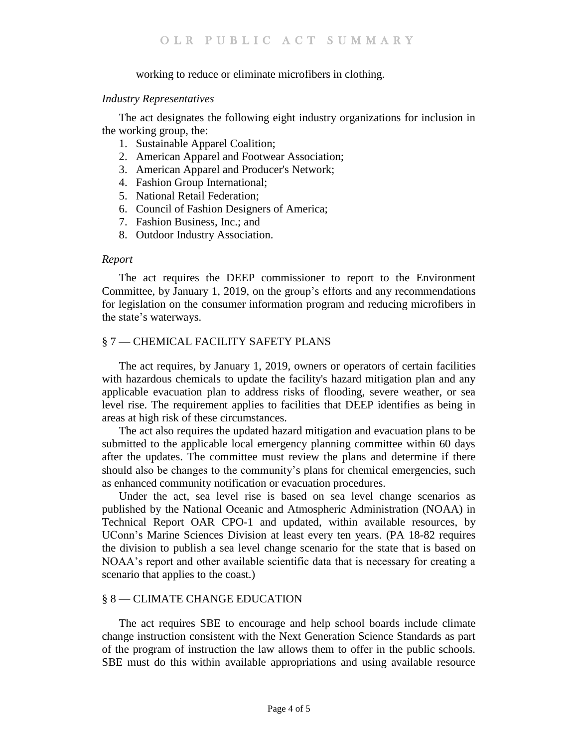### working to reduce or eliminate microfibers in clothing.

#### *Industry Representatives*

The act designates the following eight industry organizations for inclusion in the working group, the:

- 1. Sustainable Apparel Coalition;
- 2. American Apparel and Footwear Association;
- 3. American Apparel and Producer's Network;
- 4. Fashion Group International;
- 5. National Retail Federation;
- 6. Council of Fashion Designers of America;
- 7. Fashion Business, Inc.; and
- 8. Outdoor Industry Association.

#### *Report*

The act requires the DEEP commissioner to report to the Environment Committee, by January 1, 2019, on the group's efforts and any recommendations for legislation on the consumer information program and reducing microfibers in the state's waterways.

## § 7 — CHEMICAL FACILITY SAFETY PLANS

The act requires, by January 1, 2019, owners or operators of certain facilities with hazardous chemicals to update the facility's hazard mitigation plan and any applicable evacuation plan to address risks of flooding, severe weather, or sea level rise. The requirement applies to facilities that DEEP identifies as being in areas at high risk of these circumstances.

The act also requires the updated hazard mitigation and evacuation plans to be submitted to the applicable local emergency planning committee within 60 days after the updates. The committee must review the plans and determine if there should also be changes to the community's plans for chemical emergencies, such as enhanced community notification or evacuation procedures.

Under the act, sea level rise is based on sea level change scenarios as published by the National Oceanic and Atmospheric Administration (NOAA) in Technical Report OAR CPO-1 and updated, within available resources, by UConn's Marine Sciences Division at least every ten years. (PA 18-82 requires the division to publish a sea level change scenario for the state that is based on NOAA's report and other available scientific data that is necessary for creating a scenario that applies to the coast.)

### § 8 — CLIMATE CHANGE EDUCATION

The act requires SBE to encourage and help school boards include climate change instruction consistent with the Next Generation Science Standards as part of the program of instruction the law allows them to offer in the public schools. SBE must do this within available appropriations and using available resource